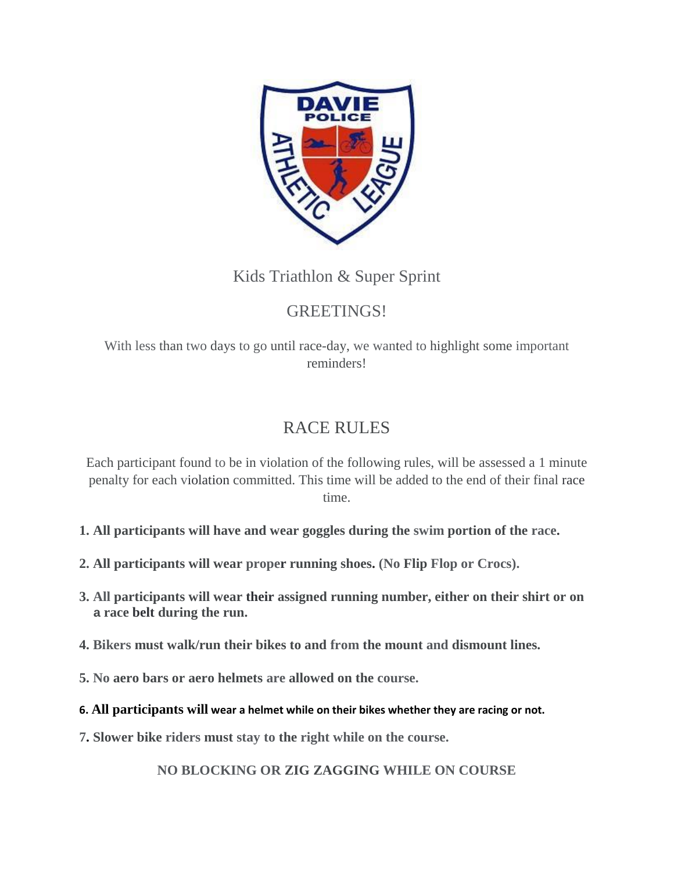

# Kids Triathlon & Super Sprint

# GREETINGS!

With less than two days to go until race-day, we wanted to highlight some important reminders!

# RACE RULES

Each participant found to be in violation of the following rules, will be assessed a 1 minute penalty for each violation committed. This time will be added to the end of their final race time.

- **1. All participants will have and wear goggles during the swim portion of the race.**
- **2. All participants will wear proper running shoes. (No Flip Flop or Crocs).**
- **3. All participants will wear their assigned running number, either on their shirt or on a race belt during the run.**
- **4. Bikers must walk/run their bikes to and from the mount and dismount lines.**
- **5. No aero bars or aero helmets are allowed on the course.**
- **6. All participants will wear a helmet while on their bikes whether they are racing or not.**
- **7. Slower bike riders must stay to the right while on the course.**

**NO BLOCKING OR ZIG ZAGGING WHILE ON COURSE**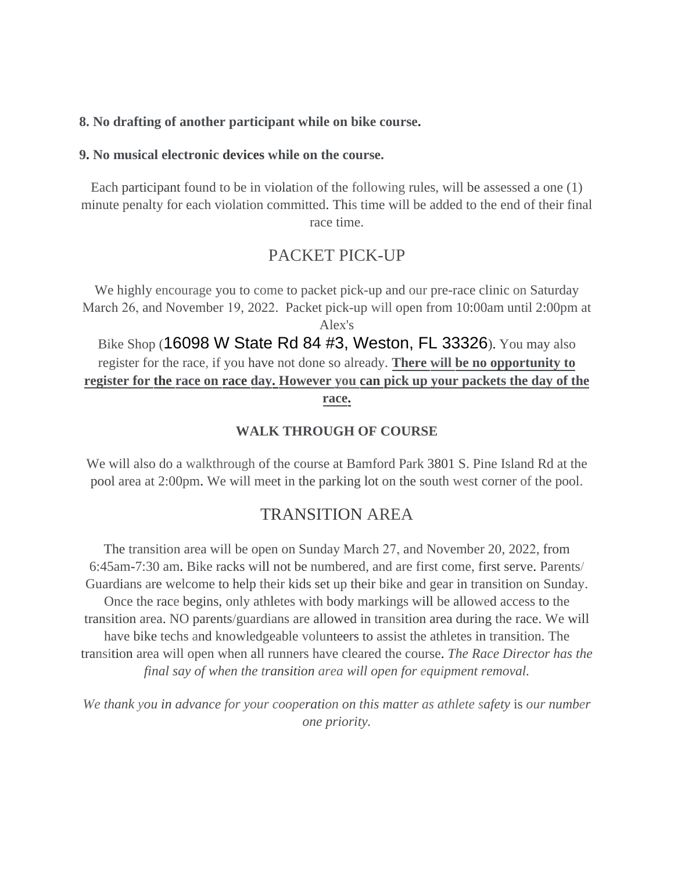#### **8. No drafting of another participant while on bike course.**

#### **9. No musical electronic devices while on the course.**

Each participant found to be in violation of the following rules, will be assessed a one (1) minute penalty for each violation committed. This time will be added to the end of their final race time.

## PACKET PICK-UP

We highly encourage you to come to packet pick-up and our pre-race clinic on Saturday March 26, and November 19, 2022. Packet pick-up will open from 10:00am until 2:00pm at Alex's Bike Shop (16098 W State Rd 84 #3, Weston, FL 33326). You may also register for the race, if you have not done so already. **There will be no opportunity to register for the race on race day. However you can pick up your packets the day of the race.**

#### **WALK THROUGH OF COURSE**

We will also do a walkthrough of the course at Bamford Park 3801 S. Pine Island Rd at the pool area at 2:00pm. We will meet in the parking lot on the south west corner of the pool.

### TRANSITION AREA

The transition area will be open on Sunday March 27, and November 20, 2022, from 6:45am-7:30 am. Bike racks will not be numbered, and are first come, first serve. Parents/ Guardians are welcome to help their kids set up their bike and gear in transition on Sunday. Once the race begins, only athletes with body markings will be allowed access to the transition area. NO parents/guardians are allowed in transition area during the race. We will have bike techs and knowledgeable volunteers to assist the athletes in transition. The transition area will open when all runners have cleared the course. *The Race Director has the final say of when the transition area will open for equipment removal.* 

*We thank you in advance for your cooperation on this matter as athlete safety* is *our number one priority.*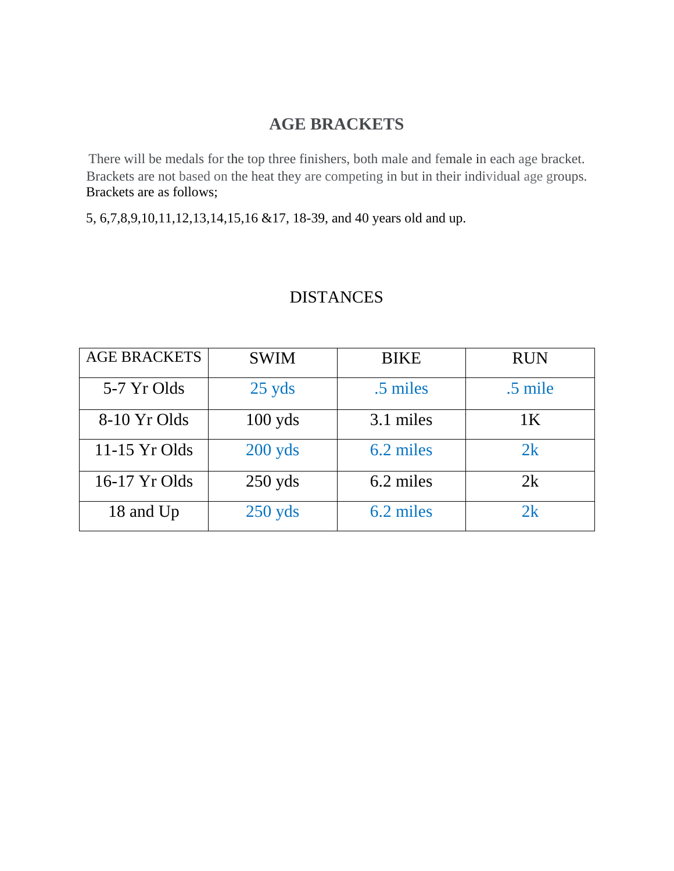## **AGE BRACKETS**

There will be medals for the top three finishers, both male and female in each age bracket. Brackets are not based on the heat they are competing in but in their individual age groups. Brackets are as follows;

5, 6,7,8,9,10,11,12,13,14,15,16 &17, 18-39, and 40 years old and up.

# DISTANCES

| <b>AGE BRACKETS</b> | <b>SWIM</b> | <b>BIKE</b> | <b>RUN</b>     |
|---------------------|-------------|-------------|----------------|
| 5-7 Yr Olds         | $25$ yds    | .5 miles    | .5 mile        |
| 8-10 Yr Olds        | $100$ yds   | 3.1 miles   | 1 <sup>K</sup> |
| 11-15 Yr Olds       | $200$ yds   | 6.2 miles   | 2k             |
| 16-17 Yr Olds       | $250$ yds   | 6.2 miles   | 2k             |
| 18 and Up           | $250$ yds   | 6.2 miles   | 2k             |